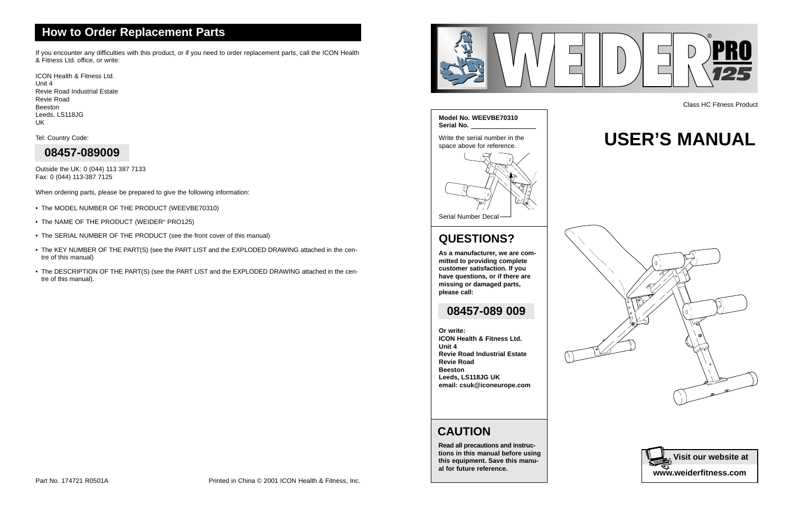### **CAUTION**



**Read all precautions and instructions in this manual before using this equipment. Save this manual for future reference.**

### **How to Order Replacement Parts**

# **USER'S MANUAL**





Class HC Fitness Product

### **QUESTIONS?**

**As a manufacturer, we are committed to providing complete customer satisfaction. If you have questions, or if there are missing or damaged parts, please call:**

**Or write: ICON Health & Fitness Ltd. Unit 4 Revie Road Industrial Estate Revie Road Beeston Leeds, LS118JG UK email: csuk@iconeurope.com**

### **08457-089 009**

If you encounter any difficulties with this product, or if you need to order replacement parts, call the ICON Health & Fitness Ltd. office, or write:

ICON Health & Fitness Ltd. Unit 4 Revie Road Industrial Estate Revie Road Beeston Leeds, LS118JG UK

Tel: Country Code:

Outside the UK: 0 (044) 113 387 7133 Fax: 0 (044) 113-387 7125

When ordering parts, please be prepared to give the following information:

- The MODEL NUMBER OF THE PRODUCT (WEEVBE70310)
- The NAME OF THE PRODUCT (WEIDER® PRO125)
- The SERIAL NUMBER OF THE PRODUCT (see the front cover of this manual)
- The KEY NUMBER OF THE PART(S) (see the PART LIST and the EXPLODED DRAWING attached in the centre of this manual)
- The DESCRIPTION OF THE PART(S) (see the PART LIST and the EXPLODED DRAWING attached in the centre of this manual).

### **08457-089009**

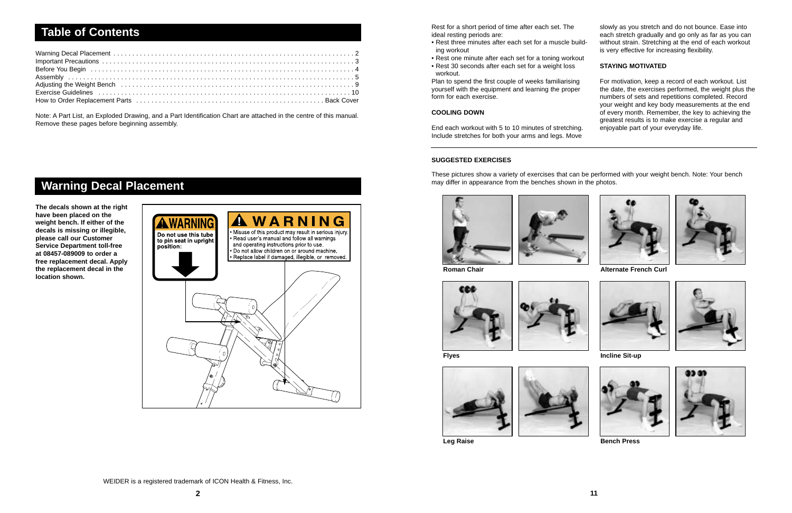| Adjusting the Weight Bench et al., respectively respectively and the vertex respectively and the Weight Bench |  |
|---------------------------------------------------------------------------------------------------------------|--|
|                                                                                                               |  |
|                                                                                                               |  |

Note: A Part List, an Exploded Drawing, and a Part Identification Chart are attached in the centre of this manual. Remove these pages before beginning assembly.

### **Table of Contents**

**The decals shown at the right have been placed on the weight bench. If either of the decals is missing or illegible, please call our Customer Service Department toll-free at 08457-089009 to order a free replacement decal. Apply the replacement decal in the location shown.** 



### **Warning Decal Placement**

Rest for a short period of time after each set. The ideal resting periods are:

- Rest three minutes after each set for a muscle building workout
- Rest one minute after each set for a toning workout
- Rest 30 seconds after each set for a weight loss workout.

Plan to spend the first couple of weeks familiarising yourself with the equipment and learning the proper form for each exercise.

#### **COOLING DOWN**

End each workout with 5 to 10 minutes of stretching. Include stretches for both your arms and legs. Move slowly as you stretch and do not bounce. Ease into each stretch gradually and go only as far as you can without strain. Stretching at the end of each workout is very effective for increasing flexibility.

#### **STAYING MOTIVATED**

For motivation, keep a record of each workout. List the date, the exercises performed, the weight plus the numbers of sets and repetitions completed. Record your weight and key body measurements at the end of every month. Remember, the key to achieving the greatest results is to make exercise a regular and enjoyable part of your everyday life.





#### WEIDER is a registered trademark of ICON Health & Fitness, Inc.

**Roman Chair**





**Flyes**





**Leg Raise**















**Bench Press**

#### **SUGGESTED EXERCISES**

These pictures show a variety of exercises that can be performed with your weight bench. Note: Your bench may differ in appearance from the benches shown in the photos.



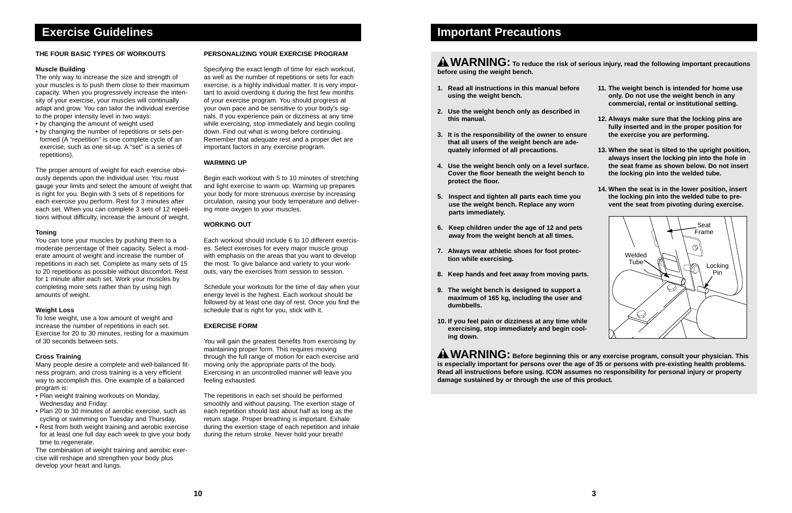- **1. Read all instructions in this manual before using the weight bench.**
- **2. Use the weight bench only as described in this manual.**
- **3. It is the responsibility of the owner to ensure that all users of the weight bench are adequately informed of all precautions.**
- **4. Use the weight bench only on a level surface. Cover the floor beneath the weight bench to protect the floor.**
- **5. Inspect and tighten all parts each time you use the weight bench. Replace any worn parts immediately.**
- **6. Keep children under the age of 12 and pets away from the weight bench at all times.**
- **7. Always wear athletic shoes for foot protection while exercising.**
- **8. Keep hands and feet away from moving parts.**
- **9. The weight bench is designed to support a maximum of 165 kg, including the user and dumbbells.**
- **10. If you feel pain or dizziness at any time while exercising, stop immediately and begin cooling down.**

### **A WARNING:** To reduce the risk of serious injury, read the following important precautions **before using the weight bench.**

- **11. The weight bench is intended for home use only. Do not use the weight bench in any commercial, rental or institutional setting.**
- **12. Always make sure that the locking pins are fully inserted and in the proper position for the exercise you are performing.**
- **13. When the seat is tilted to the upright position, always insert the locking pin into the hole in the seat frame as shown below. Do not insert the locking pin into the welded tube.**
- **14. When the seat is in the lower position, insert the locking pin into the welded tube to prevent the seat from pivoting during exercise.**

### **Important Precautions**

#### **THE FOUR BASIC TYPES OF WORKOUTS**

#### **Muscle Building**

The only way to increase the size and strength of your muscles is to push them close to their maximum capacity. When you progressively increase the intensity of your exercise, your muscles will continually adapt and grow. You can tailor the individual exercise to the proper intensity level in two ways:

- by changing the amount of weight used
- by changing the number of repetitions or sets performed (A "repetition" is one complete cycle of an exercise, such as one sit-up. A "set" is a series of repetitions).

The proper amount of weight for each exercise obviously depends upon the individual user. You must gauge your limits and select the amount of weight that is right for you. Begin with 3 sets of 8 repetitions for each exercise you perform. Rest for 3 minutes after each set. When you can complete 3 sets of 12 repetitions without difficulty, increase the amount of weight.

#### **Toning**

You can tone your muscles by pushing them to a moderate percentage of their capacity. Select a moderate amount of weight and increase the number of repetitions in each set. Complete as many sets of 15 to 20 repetitions as possible without discomfort. Rest for 1 minute after each set. Work your muscles by completing more sets rather than by using high amounts of weight.

#### **Weight Loss**

**A WARNING:** Before beginning this or any exercise program, consult your physician. This **is especially important for persons over the age of 35 or persons with pre-existing health problems. Read all instructions before using. ICON assumes no responsibility for personal injury or property damage sustained by or through the use of this product.** 

To lose weight, use a low amount of weight and increase the number of repetitions in each set. Exercise for 20 to 30 minutes, resting for a maximum of 30 seconds between sets.

#### **Cross Training**

Many people desire a complete and well-balanced fitness program, and cross training is a very efficient way to accomplish this. One example of a balanced program is:

- Plan weight training workouts on Monday, Wednesday and Friday.
- Plan 20 to 30 minutes of aerobic exercise, such as cycling or swimming on Tuesday and Thursday.
- Rest from both weight training and aerobic exercise for at least one full day each week to give your body time to regenerate.

The combination of weight training and aerobic exercise will reshape and strengthen your body plus develop your heart and lungs.

#### **PERSONALIZING YOUR EXERCISE PROGRAM**

Specifying the exact length of time for each workout, as well as the number of repetitions or sets for each exercise, is a highly individual matter. It is very important to avoid overdoing it during the first few months of your exercise program. You should progress at your own pace and be sensitive to your body's signals. If you experience pain or dizziness at any time while exercising, stop immediately and begin cooling down. Find out what is wrong before continuing. Remember that adequate rest and a proper diet are important factors in any exercise program.

#### **WARMING UP**

Begin each workout with 5 to 10 minutes of stretching and light exercise to warm up. Warming up prepares your body for more strenuous exercise by increasing circulation, raising your body temperature and delivering more oxygen to your muscles.

#### **WORKING OUT**

Each workout should include 6 to 10 different exercises. Select exercises for every major muscle group with emphasis on the areas that you want to develop the most. To give balance and variety to your workouts, vary the exercises from session to session.

Schedule your workouts for the time of day when your energy level is the highest. Each workout should be followed by at least one day of rest. Once you find the schedule that is right for you, stick with it.

#### **EXERCISE FORM**

You will gain the greatest benefits from exercising by maintaining proper form. This requires moving through the full range of motion for each exercise and moving only the appropriate parts of the body. Exercising in an uncontrolled manner will leave you feeling exhausted.

The repetitions in each set should be performed smoothly and without pausing. The exertion stage of each repetition should last about half as long as the return stage. Proper breathing is important. Exhale during the exertion stage of each repetition and inhale during the return stroke. Never hold your breath!

### **Exercise Guidelines**

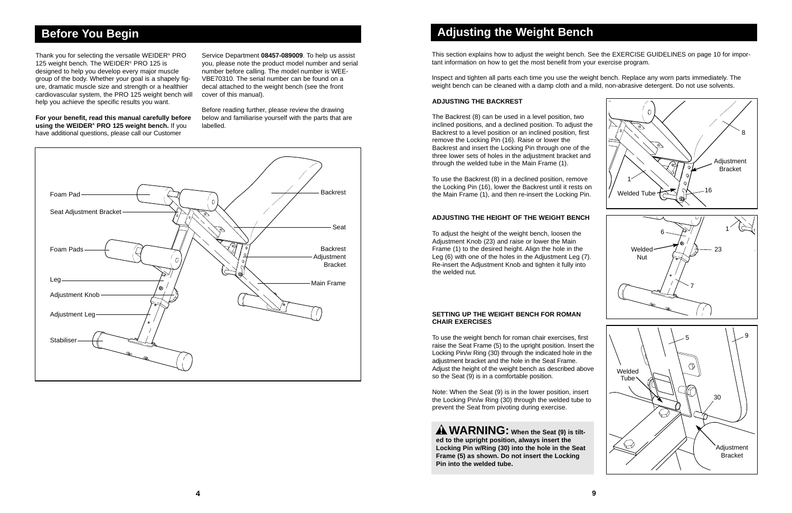Thank you for selecting the versatile WEIDER® PRO 125 weight bench. The WEIDER<sup>®</sup> PRO 125 is designed to help you develop every major muscle group of the body. Whether your goal is a shapely figure, dramatic muscle size and strength or a healthier cardiovascular system, the PRO 125 weight bench will help you achieve the specific results you want.

**For your benefit, read this manual carefully before using the WEIDER® PRO 125 weight bench.** If you have additional questions, please call our Customer

Service Department **08457-089009**. To help us assist you, please note the product model number and serial number before calling. The model number is WEE-VBE70310. The serial number can be found on a decal attached to the weight bench (see the front cover of this manual).

Before reading further, please review the drawing below and familiarise yourself with the parts that are labelled.

### **Before You Begin**

This section explains how to adjust the weight bench. See the EXERCISE GUIDELINES on page 10 for important information on how to get the most benefit from your exercise program.

Inspect and tighten all parts each time you use the weight bench. Replace any worn parts immediately. The weight bench can be cleaned with a damp cloth and a mild, non-abrasive detergent. Do not use solvents.

### **Adjusting the Weight Bench**

To use the Backrest (8) in a declined position, remove the Locking Pin (16), lower the Backrest until it rests on the Main Frame (1), and then re-insert the Locking Pin.  $\frac{1}{2}$  Welded Tube  $\approx 16$ 

#### **SETTING UP THE WEIGHT BENCH FOR ROMAN CHAIR EXERCISES**

To use the weight bench for roman chair exercises, first raise the Seat Frame (5) to the upright position. Insert the Locking Pin/w Ring (30) through the indicated hole in the adjustment bracket and the hole in the Seat Frame. Adjust the height of the weight bench as described above so the Seat (9) is in a comfortable position.

Note: When the Seat (9) is in the lower position, insert the Locking Pin/w Ring (30) through the welded tube to prevent the Seat from pivoting during exercise.

#### **ADJUSTING THE HEIGHT OF THE WEIGHT BENCH**



To adjust the height of the weight bench, loosen the Adjustment Knob (23) and raise or lower the Main Frame (1) to the desired height. Align the hole in the Leg (6) with one of the holes in the Adjustment Leg (7). Re-insert the Adjustment Knob and tighten it fully into the welded nut.

**WARNING: When the Seat (9) is tilted to the upright position, always insert the Locking Pin w/Ring (30) into the hole in the Seat Frame (5) as shown. Do not insert the Locking Pin into the welded tube.**

#### **ADJUSTING THE BACKREST**

The Backrest (8) can be used in a level position, two inclined positions, and a declined position. To adjust the Backrest to a level position or an inclined position, first remove the Locking Pin (16). Raise or lower the Backrest and insert the Locking Pin through one of the three lower sets of holes in the adjustment bracket and through the welded tube in the Main Frame (1).

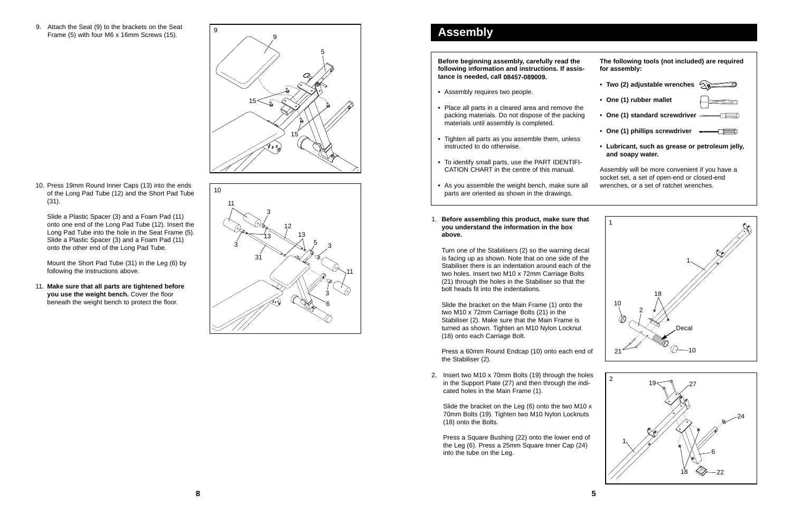Turn one of the Stabilisers (2) so the warning decal is facing up as shown. Note that on one side of the Stabiliser there is an indentation around each of the two holes. Insert two M10 x 72mm Carriage Bolts (21) through the holes in the Stabiliser so that the bolt heads fit into the indentations.

- **•** Assembly requires two people.
- **•** Place all parts in a cleared area and remove the packing materials. Do not dispose of the packing materials until assembly is completed.
- **•** Tighten all parts as you assemble them, unless instructed to do otherwise.
- **•** To identify small parts, use the PART IDENTIFI-CATION CHART in the centre of this manual.
- **•** As you assemble the weight bench, make sure all parts are oriented as shown in the drawings.
- 1. **Before assembling this product, make sure that you understand the information in the box above.**

Slide the bracket on the Main Frame (1) onto the two M10 x 72mm Carriage Bolts (21) in the Stabiliser (2). Make sure that the Main Frame is turned as shown. Tighten an M10 Nylon Locknut (18) onto each Carriage Bolt.

Press a 60mm Round Endcap (10) onto each end of the Stabiliser (2).

**Before beginning assembly, carefully read the following information and instructions. If assistance is needed, call 08457-089009.**



### **Assembly**

9. Attach the Seat (9) to the brackets on the Seat Frame (5) with four M6 x 16mm Screws (15).



10. Press 19mm Round Inner Caps (13) into the ends of the Long Pad Tube (12) and the Short Pad Tube (31).

Slide a Plastic Spacer (3) and a Foam Pad (11) onto one end of the Long Pad Tube (12). Insert the Long Pad Tube into the hole in the Seat Frame (5). Slide a Plastic Spacer (3) and a Foam Pad (11) onto the other end of the Long Pad Tube.





Mount the Short Pad Tube (31) in the Leg (6) by following the instructions above.

11. **Make sure that all parts are tightened before you use the weight bench.** Cover the floor beneath the weight bench to protect the floor.

> 2. Insert two M10 x 70mm Bolts (19) through the holes in the Support Plate (27) and then through the indicated holes in the Main Frame (1).

Slide the bracket on the Leg (6) onto the two M10 x 70mm Bolts (19). Tighten two M10 Nylon Locknuts (18) onto the Bolts.

Press a Square Bushing (22) onto the lower end of the Leg (6). Press a 25mm Square Inner Cap (24) into the tube on the Leg.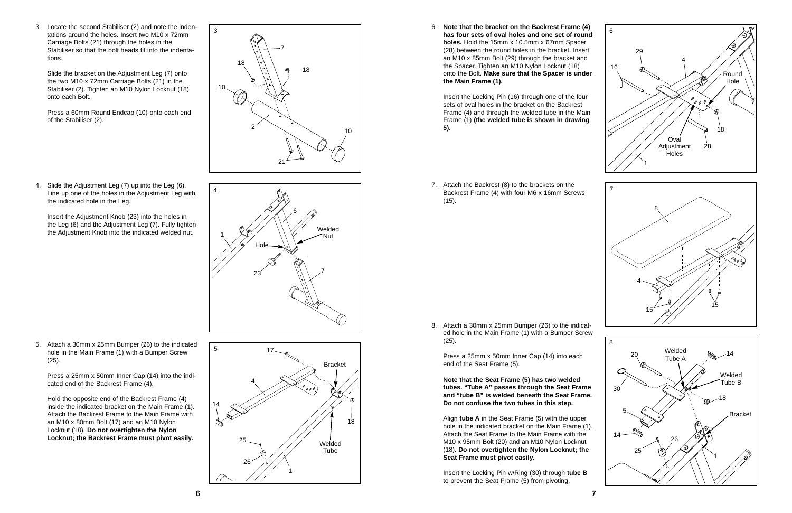3

3. Locate the second Stabiliser (2) and note the indentations around the holes. Insert two M10 x 72mm Carriage Bolts (21) through the holes in the Stabiliser so that the bolt heads fit into the indentations.

Slide the bracket on the Adjustment Leg (7) onto the two M10 x 72mm Carriage Bolts (21) in the Stabiliser (2). Tighten an M10 Nylon Locknut (18) onto each Bolt.



Press a 60mm Round Endcap (10) onto each end of the Stabiliser (2).

4. Slide the Adjustment Leg (7) up into the Leg (6). Line up one of the holes in the Adjustment Leg with the indicated hole in the Leg.

Insert the Adjustment Knob (23) into the holes in the Leg (6) and the Adjustment Leg (7). Fully tighten the Adjustment Knob into the indicated welded nut.

18

7

18

10

2

10

5. Attach a 30mm x 25mm Bumper (26) to the indicated hole in the Main Frame (1) with a Bumper Screw (25).

Press a 25mm x 50mm Inner Cap (14) into the indicated end of the Backrest Frame (4).

Hold the opposite end of the Backrest Frame (4) inside the indicated bracket on the Main Frame (1). Attach the Backrest Frame to the Main Frame with an M10 x 80mm Bolt (17) and an M10 Nylon Locknut (18). **Do not overtighten the Nylon Locknut; the Backrest Frame must pivot easily.**

6. **Note that the bracket on the Backrest Frame (4) has four sets of oval holes and one set of round holes.** Hold the 15mm x 10.5mm x 67mm Spacer (28) between the round holes in the bracket. Insert an M10 x 85mm Bolt (29) through the bracket and the Spacer. Tighten an M10 Nylon Locknut (18) onto the Bolt. **Make sure that the Spacer is under the Main Frame (1).**

Insert the Locking Pin (16) through one of the four sets of oval holes in the bracket on the Backrest Frame (4) and through the welded tube in the Main Frame (1) **(the welded tube is shown in drawing 5).**



7. Attach the Backrest (8) to the brackets on the Backrest Frame (4) with four M6 x 16mm Screws (15).



8. Attach a 30mm x 25mm Bumper (26) to the indicated hole in the Main Frame (1) with a Bumper Screw (25).

Press a 25mm x 50mm Inner Cap (14) into each end of the Seat Frame (5).

**Note that the Seat Frame (5) has two welded tubes. "Tube A" passes through the Seat Frame and "tube B" is welded beneath the Seat Frame. Do not confuse the two tubes in this step.**

Align **tube A** in the Seat Frame (5) with the upper hole in the indicated bracket on the Main Frame (1). Attach the Seat Frame to the Main Frame with the M10 x 95mm Bolt (20) and an M10 Nylon Locknut (18). **Do not overtighten the Nylon Locknut; the Seat Frame must pivot easily.**

Insert the Locking Pin w/Ring (30) through **tube B** to prevent the Seat Frame (5) from pivoting.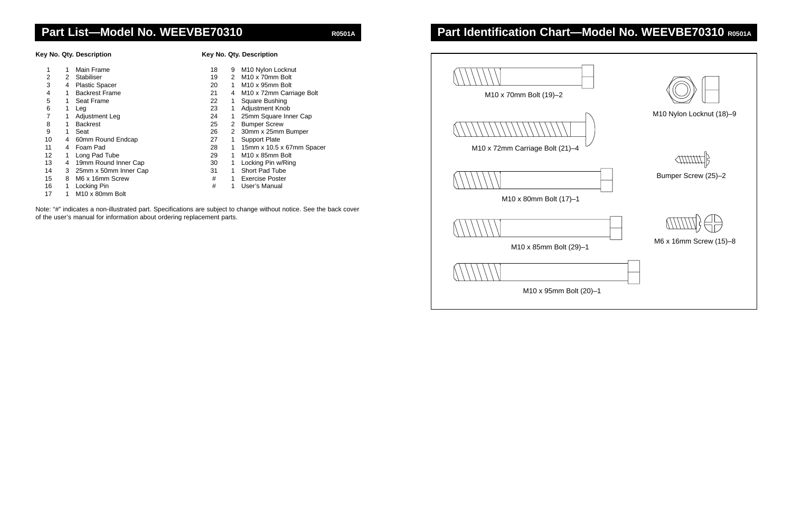

| M10 x 70mm Bolt (19)-2          |  |
|---------------------------------|--|
|                                 |  |
|                                 |  |
| M10 x 72mm Carriage Bolt (21)-4 |  |
|                                 |  |
|                                 |  |
| M10 x 80mm Bolt (17)-1          |  |
|                                 |  |
| M10 x 85mm Bolt (29)-1          |  |
|                                 |  |
| M10 x 95mm Bolt (2              |  |
|                                 |  |

### **Part Identification Chart-Model No. WEEVBE70310 R0501A**

Note: "#" indicates a non-illustrated part. Specifications are subject to change without notice. See the back cover of the user's manual for information about ordering replacement parts.

### Part List-Model No. WEEVBE70310 R0501A

**Key No. Qty. Description Key No. Qty. Description**

|    |   | Main Frame                  | 18 | 9 | M <sub>10</sub> Nylon Locknut        |
|----|---|-----------------------------|----|---|--------------------------------------|
| 2  | 2 | Stabiliser                  | 19 | 2 | M <sub>10</sub> x 70mm Bolt          |
| 3  | 4 | <b>Plastic Spacer</b>       | 20 |   | M <sub>10</sub> x 95mm Bolt          |
| 4  | 1 | <b>Backrest Frame</b>       | 21 | 4 | M <sub>10</sub> x 72mm Carriage Bolt |
| 5  | 1 | Seat Frame                  | 22 |   | Square Bushing                       |
| 6  | 1 | Leg                         | 23 |   | <b>Adjustment Knob</b>               |
|    | 1 | Adjustment Leg              | 24 |   | 25mm Square Inner Cap                |
| 8  | 1 | <b>Backrest</b>             | 25 | 2 | <b>Bumper Screw</b>                  |
| 9  | 1 | Seat                        | 26 | 2 | 30mm x 25mm Bumper                   |
| 10 | 4 | 60mm Round Endcap           | 27 |   | <b>Support Plate</b>                 |
| 11 | 4 | Foam Pad                    | 28 |   | 15mm x 10.5 x 67mm Spacer            |
| 12 | 1 | Long Pad Tube               | 29 |   | M <sub>10</sub> x 85mm Bolt          |
| 13 | 4 | 19mm Round Inner Cap        | 30 |   | Locking Pin w/Ring                   |
| 14 | 3 | 25mm x 50mm Inner Cap       | 31 |   | Short Pad Tube                       |
| 15 | 8 | M6 x 16mm Screw             | #  |   | <b>Exercise Poster</b>               |
| 16 | 1 | Locking Pin                 | #  |   | User's Manual                        |
| 17 | 1 | M <sub>10</sub> x 80mm Bolt |    |   |                                      |